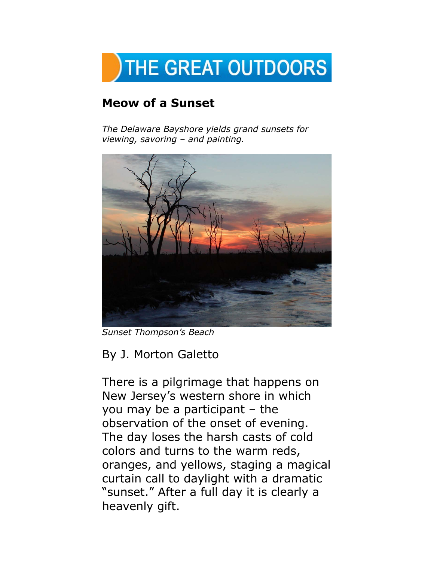

## **Meow of a Sunset**

*The Delaware Bayshore yields grand sunsets for viewing, savoring – and painting.*



*Sunset Thompson's Beach*

## By J. Morton Galetto

There is a pilgrimage that happens on New Jersey's western shore in which you may be a participant – the observation of the onset of evening. The day loses the harsh casts of cold colors and turns to the warm reds, oranges, and yellows, staging a magical curtain call to daylight with a dramatic "sunset." After a full day it is clearly a heavenly gift.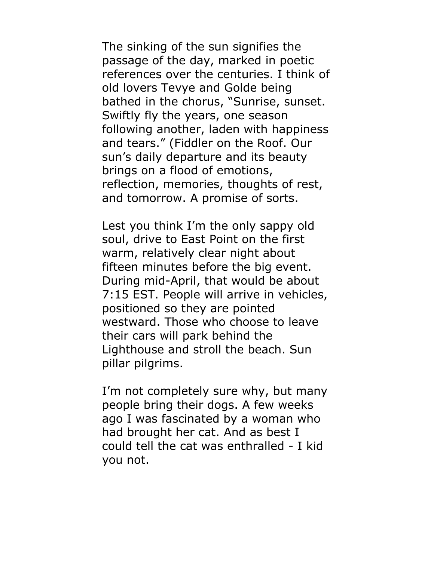The sinking of the sun signifies the passage of the day, marked in poetic references over the centuries. I think of old lovers Tevye and Golde being bathed in the chorus, "Sunrise, sunset. Swiftly fly the years, one season following another, laden with happiness and tears." (Fiddler on the Roof. Our sun's daily departure and its beauty brings on a flood of emotions, reflection, memories, thoughts of rest, and tomorrow. A promise of sorts.

Lest you think I'm the only sappy old soul, drive to East Point on the first warm, relatively clear night about fifteen minutes before the big event. During mid-April, that would be about 7:15 EST. People will arrive in vehicles, positioned so they are pointed westward. Those who choose to leave their cars will park behind the Lighthouse and stroll the beach. Sun pillar pilgrims.

I'm not completely sure why, but many people bring their dogs. A few weeks ago I was fascinated by a woman who had brought her cat. And as best I could tell the cat was enthralled - I kid you not.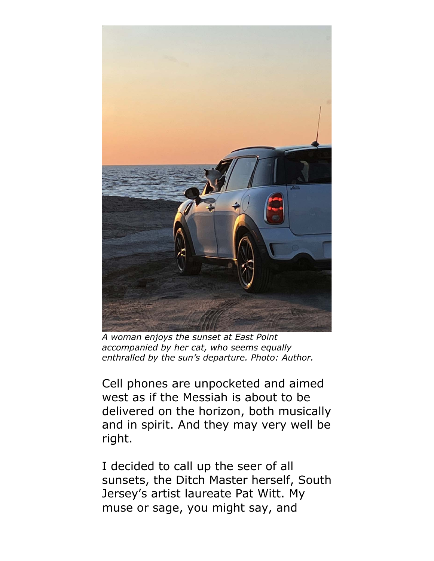

*A woman enjoys the sunset at East Point accompanied by her cat, who seems equally enthralled by the sun's departure. Photo: Author.*

Cell phones are unpocketed and aimed west as if the Messiah is about to be delivered on the horizon, both musically and in spirit. And they may very well be right.

I decided to call up the seer of all sunsets, the Ditch Master herself, South Jersey's artist laureate Pat Witt. My muse or sage, you might say, and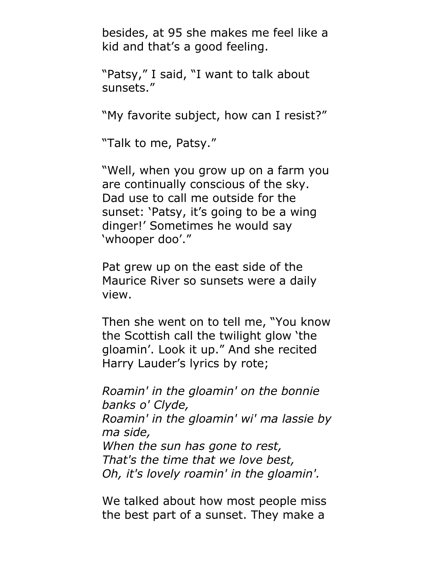besides, at 95 she makes me feel like a kid and that's a good feeling.

"Patsy," I said, "I want to talk about sunsets."

"My favorite subject, how can I resist?"

"Talk to me, Patsy."

"Well, when you grow up on a farm you are continually conscious of the sky. Dad use to call me outside for the sunset: 'Patsy, it's going to be a wing dinger!' Sometimes he would say 'whooper doo'."

Pat grew up on the east side of the Maurice River so sunsets were a daily view.

Then she went on to tell me, "You know the Scottish call the twilight glow 'the gloamin'. Look it up." And she recited Harry Lauder's lyrics by rote;

*Roamin' in the gloamin' on the bonnie banks o' Clyde, Roamin' in the gloamin' wi' ma lassie by ma side, When the sun has gone to rest, That's the time that we love best, Oh, it's lovely roamin' in the gloamin'.*

We talked about how most people miss the best part of a sunset. They make a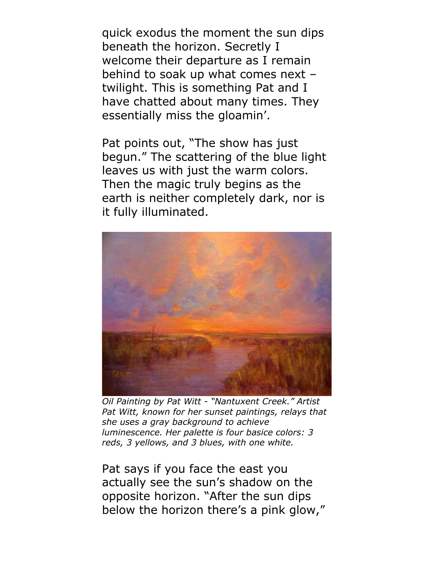quick exodus the moment the sun dips beneath the horizon. Secretly I welcome their departure as I remain behind to soak up what comes next – twilight. This is something Pat and I have chatted about many times. They essentially miss the gloamin'.

Pat points out, "The show has just begun." The scattering of the blue light leaves us with just the warm colors. Then the magic truly begins as the earth is neither completely dark, nor is it fully illuminated.



*Oil Painting by Pat Witt - "Nantuxent Creek." Artist Pat Witt, known for her sunset paintings, relays that she uses a gray background to achieve luminescence. Her palette is four basice colors: 3 reds, 3 yellows, and 3 blues, with one white.* 

Pat says if you face the east you actually see the sun's shadow on the opposite horizon. "After the sun dips below the horizon there's a pink glow,"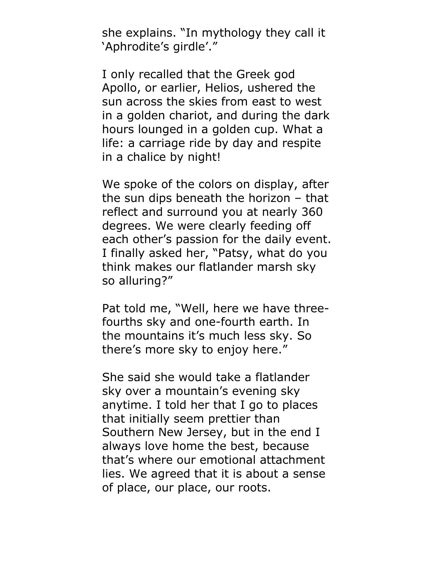she explains. "In mythology they call it 'Aphrodite's girdle'."

I only recalled that the Greek god Apollo, or earlier, Helios, ushered the sun across the skies from east to west in a golden chariot, and during the dark hours lounged in a golden cup. What a life: a carriage ride by day and respite in a chalice by night!

We spoke of the colors on display, after the sun dips beneath the horizon – that reflect and surround you at nearly 360 degrees. We were clearly feeding off each other's passion for the daily event. I finally asked her, "Patsy, what do you think makes our flatlander marsh sky so alluring?"

Pat told me, "Well, here we have threefourths sky and one-fourth earth. In the mountains it's much less sky. So there's more sky to enjoy here."

She said she would take a flatlander sky over a mountain's evening sky anytime. I told her that I go to places that initially seem prettier than Southern New Jersey, but in the end I always love home the best, because that's where our emotional attachment lies. We agreed that it is about a sense of place, our place, our roots.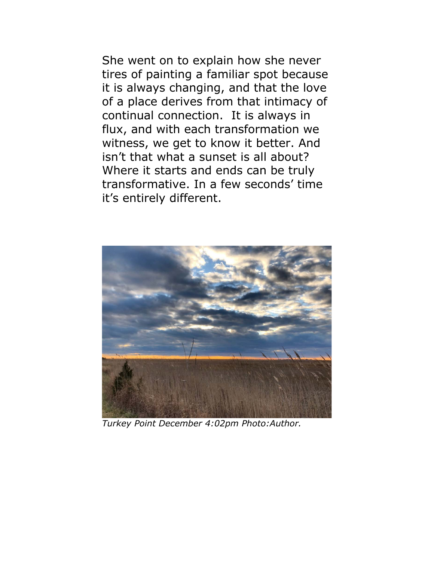She went on to explain how she never tires of painting a familiar spot because it is always changing, and that the love of a place derives from that intimacy of continual connection. It is always in flux, and with each transformation we witness, we get to know it better. And isn't that what a sunset is all about? Where it starts and ends can be truly transformative. In a few seconds' time it's entirely different.



*Turkey Point December 4:02pm Photo:Author.*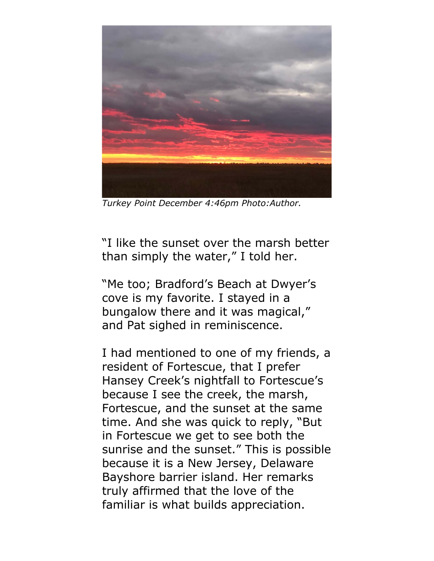

*Turkey Point December 4:46pm Photo:Author.*

"I like the sunset over the marsh better than simply the water," I told her.

"Me too; Bradford's Beach at Dwyer's cove is my favorite. I stayed in a bungalow there and it was magical," and Pat sighed in reminiscence.

I had mentioned to one of my friends, a resident of Fortescue, that I prefer Hansey Creek's nightfall to Fortescue's because I see the creek, the marsh, Fortescue, and the sunset at the same time. And she was quick to reply, "But in Fortescue we get to see both the sunrise and the sunset." This is possible because it is a New Jersey, Delaware Bayshore barrier island. Her remarks truly affirmed that the love of the familiar is what builds appreciation.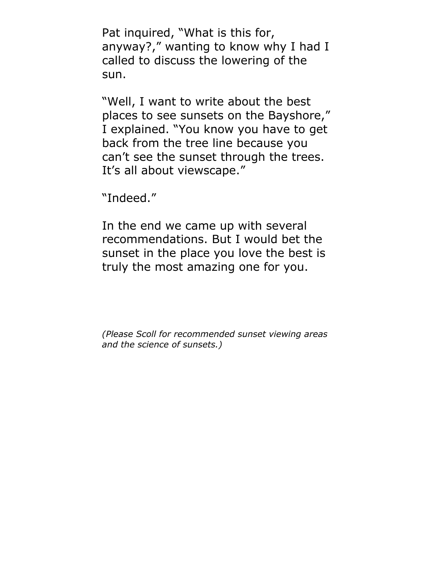Pat inquired, "What is this for, anyway?," wanting to know why I had I called to discuss the lowering of the sun.

"Well, I want to write about the best places to see sunsets on the Bayshore," I explained. "You know you have to get back from the tree line because you can't see the sunset through the trees. It's all about viewscape."

"Indeed."

In the end we came up with several recommendations. But I would bet the sunset in the place you love the best is truly the most amazing one for you.

*(Please Scoll for recommended sunset viewing areas and the science of sunsets.)*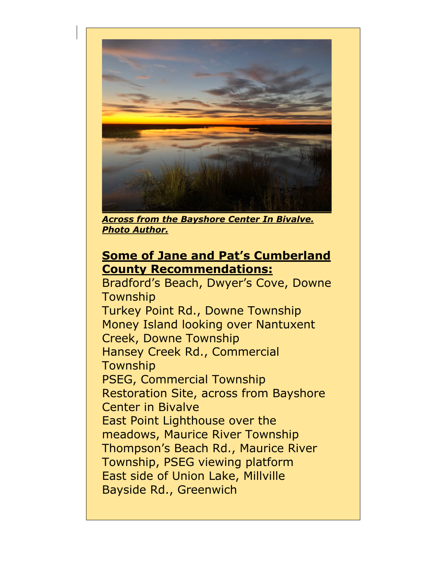

*Across from the Bayshore Center In Bivalve. Photo Author.*

## **Some of Jane and Pat's Cumberland County Recommendations:**

Bradford's Beach, Dwyer's Cove, Downe Township Turkey Point Rd., Downe Township Money Island looking over Nantuxent Creek, Downe Township Hansey Creek Rd., Commercial Township PSEG, Commercial Township Restoration Site, across from Bayshore Center in Bivalve East Point Lighthouse over the meadows, Maurice River Township Thompson's Beach Rd., Maurice River Township, PSEG viewing platform East side of Union Lake, Millville Bayside Rd., Greenwich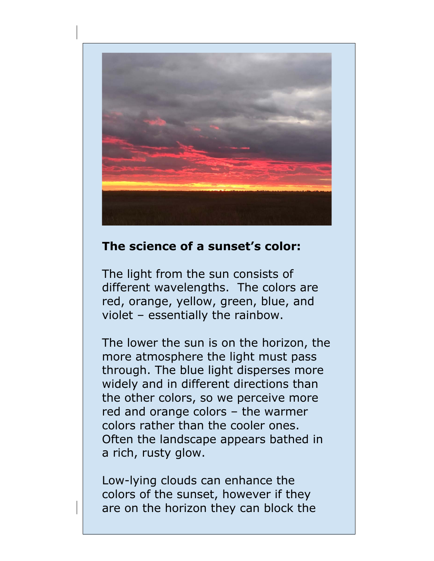

## **The science of a sunset's color:**

The light from the sun consists of different wavelengths. The colors are red, orange, yellow, green, blue, and violet – essentially the rainbow.

The lower the sun is on the horizon, the more atmosphere the light must pass through. The blue light disperses more widely and in different directions than the other colors, so we perceive more red and orange colors – the warmer colors rather than the cooler ones. Often the landscape appears bathed in a rich, rusty glow.

Low-lying clouds can enhance the colors of the sunset, however if they are on the horizon they can block the